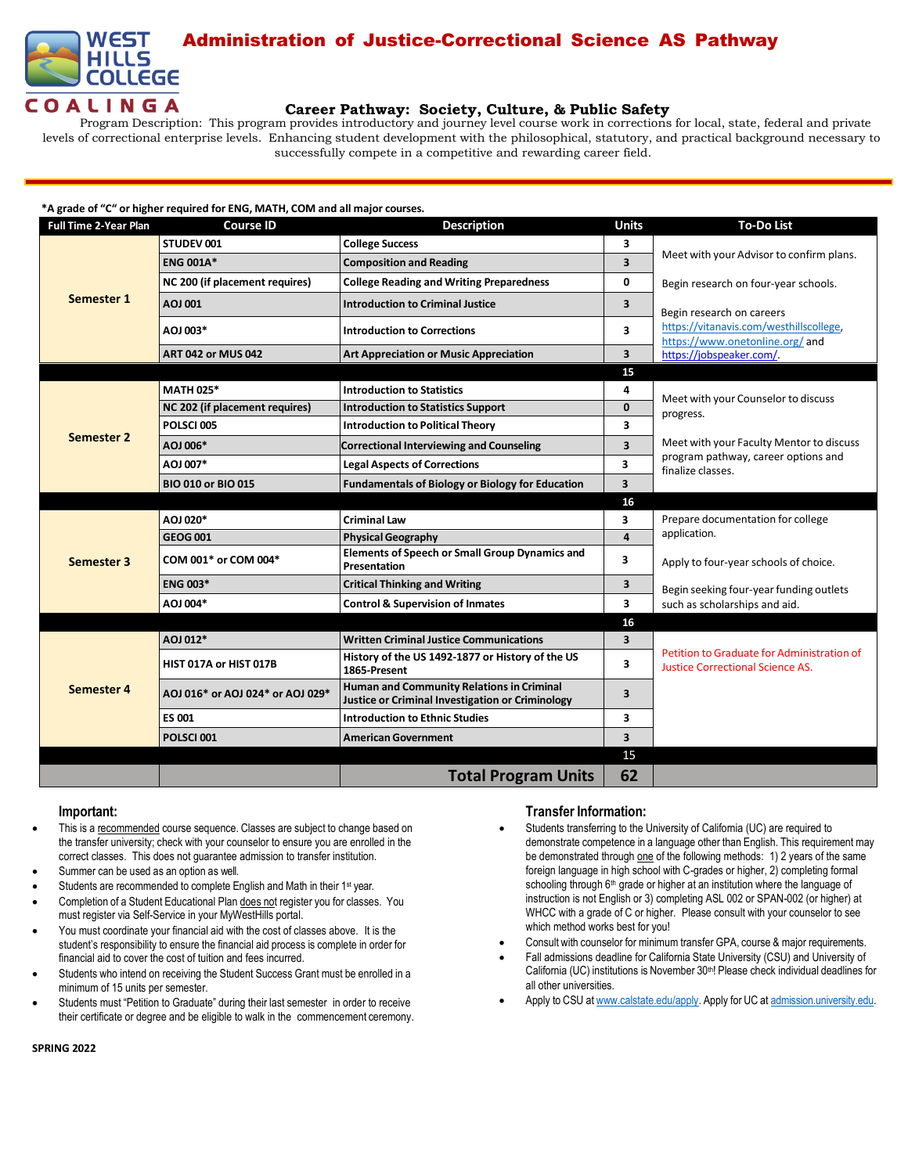

# Administration of Justice-Correctional Science AS Pathway

## **Career Pathway: Society, Culture, & Public Safety**

Program Description: This program provides introductory and journey level course work in corrections for local, state, federal and private levels of correctional enterprise levels. Enhancing student development with the philosophical, statutory, and practical background necessary to successfully compete in a competitive and rewarding career field.

#### **\*A grade of "C" or higher required for ENG, MATH, COM and all major courses.**

| <b>Full Time 2-Year Plan</b> | <b>Course ID</b>                 | <b>Description</b>                                                                            | <b>Units</b>            | <b>To-Do List</b>                                                                                    |
|------------------------------|----------------------------------|-----------------------------------------------------------------------------------------------|-------------------------|------------------------------------------------------------------------------------------------------|
| Semester 1                   | STUDEV 001                       | <b>College Success</b>                                                                        | 3                       | Meet with your Advisor to confirm plans.                                                             |
|                              | <b>ENG 001A*</b>                 | <b>Composition and Reading</b>                                                                | 3                       |                                                                                                      |
|                              | NC 200 (if placement requires)   | <b>College Reading and Writing Preparedness</b>                                               | 0                       | Begin research on four-year schools.                                                                 |
|                              | AOJ 001                          | <b>Introduction to Criminal Justice</b>                                                       | 3                       | Begin research on careers                                                                            |
|                              | AOJ 003*                         | <b>Introduction to Corrections</b>                                                            | 3                       | https://vitanavis.com/westhillscollege.<br>https://www.onetonline.org/ and                           |
|                              | <b>ART 042 or MUS 042</b>        | <b>Art Appreciation or Music Appreciation</b>                                                 | 3                       | https://jobspeaker.com/.                                                                             |
|                              |                                  |                                                                                               | 15                      |                                                                                                      |
| Semester 2                   | <b>MATH 025*</b>                 | <b>Introduction to Statistics</b>                                                             | 4                       | Meet with your Counselor to discuss<br>progress.                                                     |
|                              | NC 202 (if placement requires)   | <b>Introduction to Statistics Support</b>                                                     | $\mathbf 0$             |                                                                                                      |
|                              | POLSCI005                        | <b>Introduction to Political Theory</b>                                                       | 3                       |                                                                                                      |
|                              | AOJ 006*                         | <b>Correctional Interviewing and Counseling</b>                                               | 3                       | Meet with your Faculty Mentor to discuss<br>program pathway, career options and<br>finalize classes. |
|                              | AOJ 007*                         | <b>Legal Aspects of Corrections</b>                                                           | 3                       |                                                                                                      |
|                              | <b>BIO 010 or BIO 015</b>        | <b>Fundamentals of Biology or Biology for Education</b>                                       | 3                       |                                                                                                      |
|                              |                                  |                                                                                               | 16                      |                                                                                                      |
|                              | AOJ 020*                         | <b>Criminal Law</b>                                                                           | 3                       | Prepare documentation for college                                                                    |
| Semester 3                   | <b>GEOG 001</b>                  | <b>Physical Geography</b>                                                                     | $\overline{\mathbf{4}}$ | application.                                                                                         |
|                              | COM 001* or COM 004*             | <b>Elements of Speech or Small Group Dynamics and</b><br>Presentation                         | 3                       | Apply to four-year schools of choice.                                                                |
|                              | <b>ENG 003*</b>                  | <b>Critical Thinking and Writing</b>                                                          | 3                       | Begin seeking four-year funding outlets                                                              |
|                              | AOJ 004*                         | <b>Control &amp; Supervision of Inmates</b>                                                   | 3                       | such as scholarships and aid.                                                                        |
|                              |                                  |                                                                                               | 16                      |                                                                                                      |
| <b>Semester 4</b>            | AOJ 012*                         | <b>Written Criminal Justice Communications</b>                                                | 3                       | Petition to Graduate for Administration of<br><b>Justice Correctional Science AS.</b>                |
|                              | HIST 017A or HIST 017B           | History of the US 1492-1877 or History of the US<br>1865-Present                              | 3                       |                                                                                                      |
|                              | AOJ 016* or AOJ 024* or AOJ 029* | Human and Community Relations in Criminal<br>Justice or Criminal Investigation or Criminology | 3                       |                                                                                                      |
|                              | <b>ES 001</b>                    | <b>Introduction to Ethnic Studies</b>                                                         | 3                       |                                                                                                      |
|                              | POLSCI 001                       | <b>American Government</b>                                                                    | 3                       |                                                                                                      |
|                              |                                  |                                                                                               | 15                      |                                                                                                      |
|                              |                                  | <b>Total Program Units</b>                                                                    | 62                      |                                                                                                      |

### **Important:**

- This is a recommended course sequence. Classes are subject to change based on the transfer university; check with your counselor to ensure you are enrolled in the correct classes. This does not guarantee admission to transfer institution.
- Summer can be used as an option as well.
- Students are recommended to complete English and Math in their 1<sup>st</sup> year.
- Completion of a Student Educational Plan does not register you for classes. You must register via Self-Service in your MyWestHills portal.
- You must coordinate your financial aid with the cost of classes above. It is the student's responsibility to ensure the financial aid process is complete in order for financial aid to cover the cost of tuition and fees incurred.
- Students who intend on receiving the Student Success Grant must be enrolled in a minimum of 15 units per semester.
- Students must "Petition to Graduate" during their last semester in order to receive their certificate or degree and be eligible to walk in the commencement ceremony.

## **Transfer Information:**

- Students transferring to the University of California (UC) are required to demonstrate competence in a language other than English. This requirement may be demonstrated through one of the following methods: 1) 2 years of the same foreign language in high school with C-grades or higher, 2) completing formal schooling through 6<sup>th</sup> grade or higher at an institution where the language of instruction is not English or 3) completing ASL 002 or SPAN-002 (or higher) at WHCC with a grade of C or higher. Please consult with your counselor to see which method works best for you!
- Consult with counselor for minimum transfer GPA, course & major requirements.
- Fall admissions deadline for California State University (CSU) and University of California (UC) institutions is November 30<sup>th</sup>! Please check individual deadlines for all other universities.
- Apply to CSU at [www.calstate.edu/apply.](http://www.calstate.edu/apply) Apply for UC at [admission.university.edu.](http://www.apply.universityofcalifornia.edu/)

#### **SPRING 2022**